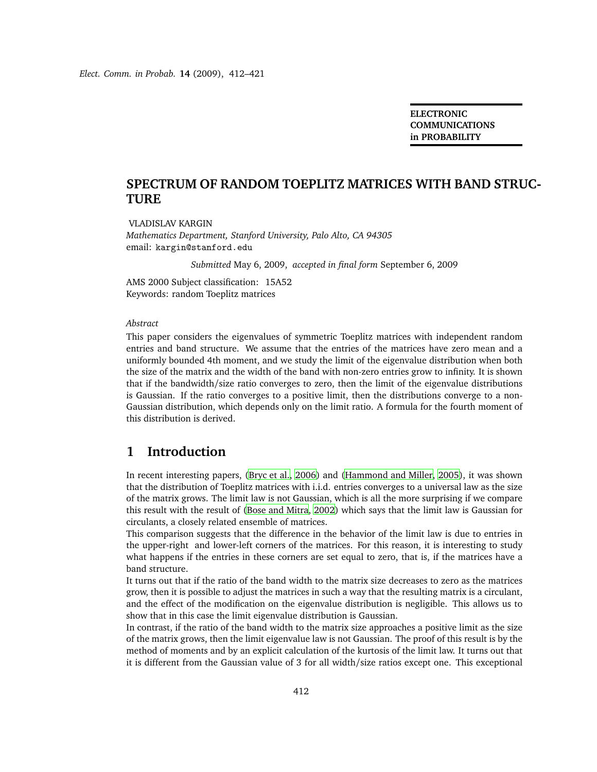**ELECTRONIC COMMUNICATIONS in PROBABILITY**

## **SPECTRUM OF RANDOM TOEPLITZ MATRICES WITH BAND STRUC-TURE**

VLADISLAV KARGIN *Mathematics Department, Stanford University, Palo Alto, CA 94305* email: kargin@stanford.edu

*Submitted* May 6, 2009, *accepted in final form* September 6, 2009

AMS 2000 Subject classification: 15A52 Keywords: random Toeplitz matrices

#### *Abstract*

This paper considers the eigenvalues of symmetric Toeplitz matrices with independent random entries and band structure. We assume that the entries of the matrices have zero mean and a uniformly bounded 4th moment, and we study the limit of the eigenvalue distribution when both the size of the matrix and the width of the band with non-zero entries grow to infinity. It is shown that if the bandwidth/size ratio converges to zero, then the limit of the eigenvalue distributions is Gaussian. If the ratio converges to a positive limit, then the distributions converge to a non-Gaussian distribution, which depends only on the limit ratio. A formula for the fourth moment of this distribution is derived.

# **1 Introduction**

In recent interesting papers, [\(Bryc et al.](#page-10-0), [2006](#page-10-0)) and [\(Hammond and Miller, 2005\)](#page-10-1), it was shown that the distribution of Toeplitz matrices with i.i.d. entries converges to a universal law as the size of the matrix grows. The limit law is not Gaussian, which is all the more surprising if we compare this result with the result of [\(Bose and Mitra, 2002](#page-10-2)) which says that the limit law is Gaussian for circulants, a closely related ensemble of matrices.

This comparison suggests that the difference in the behavior of the limit law is due to entries in the upper-right and lower-left corners of the matrices. For this reason, it is interesting to study what happens if the entries in these corners are set equal to zero, that is, if the matrices have a band structure.

It turns out that if the ratio of the band width to the matrix size decreases to zero as the matrices grow, then it is possible to adjust the matrices in such a way that the resulting matrix is a circulant, and the effect of the modification on the eigenvalue distribution is negligible. This allows us to show that in this case the limit eigenvalue distribution is Gaussian.

In contrast, if the ratio of the band width to the matrix size approaches a positive limit as the size of the matrix grows, then the limit eigenvalue law is not Gaussian. The proof of this result is by the method of moments and by an explicit calculation of the kurtosis of the limit law. It turns out that it is different from the Gaussian value of 3 for all width/size ratios except one. This exceptional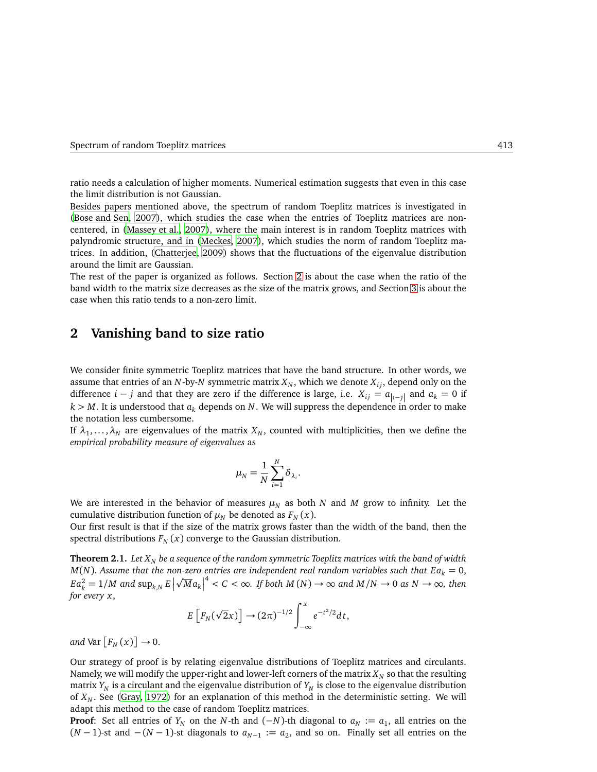ratio needs a calculation of higher moments. Numerical estimation suggests that even in this case the limit distribution is not Gaussian.

Besides papers mentioned above, the spectrum of random Toeplitz matrices is investigated in [\(Bose and Sen, 2007](#page-10-3)), which studies the case when the entries of Toeplitz matrices are noncentered, in [\(Massey et al., 2007](#page-11-0)), where the main interest is in random Toeplitz matrices with palyndromic structure, and in [\(Meckes, 2007](#page-11-1)), which studies the norm of random Toeplitz matrices. In addition, [\(Chatterjee, 2009\)](#page-10-4) shows that the fluctuations of the eigenvalue distribution around the limit are Gaussian.

The rest of the paper is organized as follows. Section [2](#page-1-0) is about the case when the ratio of the band width to the matrix size decreases as the size of the matrix grows, and Section [3](#page-5-0) is about the case when this ratio tends to a non-zero limit.

### <span id="page-1-0"></span>**2 Vanishing band to size ratio**

We consider finite symmetric Toeplitz matrices that have the band structure. In other words, we assume that entries of an *N*-by-*N* symmetric matrix  $X_N$ , which we denote  $X_{ij}$ , depend only on the difference *i* − *j* and that they are zero if the difference is large, i.e.  $X_{ij} = a_{|i-j|}$  and  $a_k = 0$  if  $k > M$ . It is understood that  $a_k$  depends on *N*. We will suppress the dependence in order to make the notation less cumbersome.

If  $\lambda_1,\ldots,\lambda_N$  are eigenvalues of the matrix  $X_N$ , counted with multiplicities, then we define the *empirical probability measure of eigenvalues* as

$$
\mu_N = \frac{1}{N} \sum_{i=1}^N \delta_{\lambda_i}.
$$

We are interested in the behavior of measures  $\mu_N$  as both *N* and *M* grow to infinity. Let the cumulative distribution function of  $\mu_N$  be denoted as  $F_N(x)$ .

Our first result is that if the size of the matrix grows faster than the width of the band, then the spectral distributions  $F_N(x)$  converge to the Gaussian distribution.

<span id="page-1-1"></span>**Theorem 2.1.** *Let X<sup>N</sup> be a sequence of the random symmetric Toeplitz matrices with the band of width*  $M(N)$ . Assume that the non-zero entries are independent real random variables such that  $E a_k = 0$ ,  $Ea_k^2 = 1/M$  and  $\sup_{k,N} E\left|\sqrt{M}a_k\right|^4 < C < \infty$ . If both  $M(N) \to \infty$  and  $M/N \to 0$  as  $N \to \infty$ , then *for every x*,

$$
E\left[F_N(\sqrt{2}x)\right] \to (2\pi)^{-1/2} \int_{-\infty}^x e^{-t^2/2} dt,
$$

and Var  $[F_N(x)] \rightarrow 0$ .

Our strategy of proof is by relating eigenvalue distributions of Toeplitz matrices and circulants. Namely, we will modify the upper-right and lower-left corners of the matrix  $X_N$  so that the resulting matrix  $Y_N$  is a circulant and the eigenvalue distribution of  $Y_N$  is close to the eigenvalue distribution of *X<sup>N</sup>* . See [\(Gray, 1972](#page-10-5)) for an explanation of this method in the deterministic setting. We will adapt this method to the case of random Toeplitz matrices.

**Proof**: Set all entries of  $Y_N$  on the *N*-th and (−*N*)-th diagonal to  $a_N := a_1$ , all entries on the  $(N-1)$ -st and  $-(N-1)$ -st diagonals to  $a_{N-1} := a_2$ , and so on. Finally set all entries on the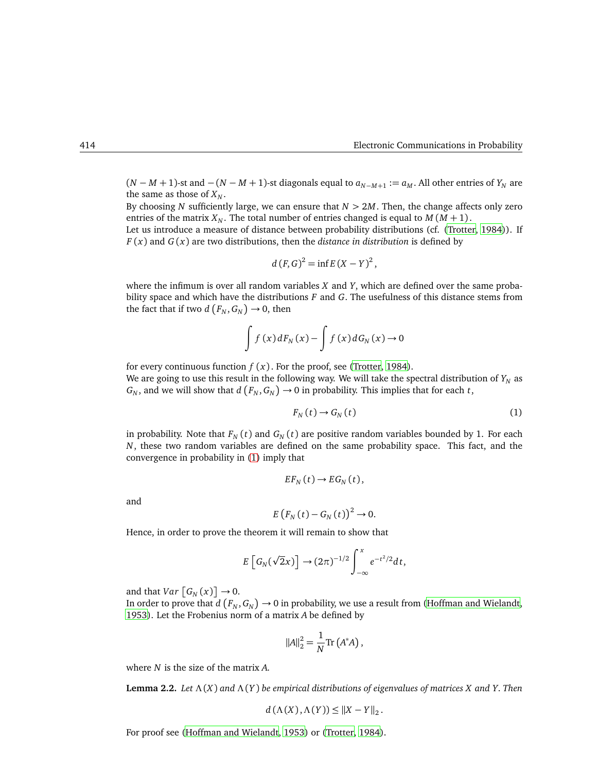$(N - M + 1)$ -st and  $-(N - M + 1)$ -st diagonals equal to  $a_{N-M+1} := a_M$ . All other entries of  $Y_N$  are the same as those of  $X_N$ .

By choosing *N* sufficiently large, we can ensure that *N >* 2*M*. Then, the change affects only zero entries of the matrix  $X_N$ . The total number of entries changed is equal to  $M(M + 1)$ .

Let us introduce a measure of distance between probability distributions (cf. [\(Trotter, 1984\)](#page-11-2)). If *F* (*x*) and *G* (*x*) are two distributions, then the *distance in distribution* is defined by

$$
d(F,G)^2 = \inf E(X-Y)^2,
$$

where the infimum is over all random variables *X* and *Y*, which are defined over the same probability space and which have the distributions *F* and *G*. The usefulness of this distance stems from the fact that if two  $d\left(F_N, G_N\right) \to 0$ , then

$$
\int f(x) dF_N(x) - \int f(x) dG_N(x) \to 0
$$

for every continuous function  $f(x)$ . For the proof, see [\(Trotter](#page-11-2), [1984\)](#page-11-2).

We are going to use this result in the following way. We will take the spectral distribution of  $Y_N$  as  $G_N$ , and we will show that  $d(F_N, G_N) \to 0$  in probability. This implies that for each *t*,

<span id="page-2-0"></span>
$$
F_N(t) \to G_N(t) \tag{1}
$$

in probability. Note that  $F_N(t)$  and  $G_N(t)$  are positive random variables bounded by 1. For each *N*, these two random variables are defined on the same probability space. This fact, and the convergence in probability in [\(1\)](#page-2-0) imply that

$$
EF_N(t)\to EG_N(t),
$$

and

$$
E\left(F_N\left(t\right)-G_N\left(t\right)\right)^2\to 0.
$$

Hence, in order to prove the theorem it will remain to show that

$$
E\left[G_N(\sqrt{2}x)\right] \to (2\pi)^{-1/2} \int_{-\infty}^x e^{-t^2/2} dt,
$$

and that *Var*  $[G_N(x)] \rightarrow 0$ .

In order to prove that  $d(F_N, G_N) \to 0$  in probability, we use a result from [\(Hoffman and Wielandt](#page-10-6), [1953\)](#page-10-6). Let the Frobenius norm of a matrix *A* be defined by

$$
||A||_2^2 = \frac{1}{N} \text{Tr}\left(A^*A\right),
$$

where *N* is the size of the matrix *A*.

**Lemma 2.2.** *Let* Λ (*X*) *and* Λ (*Y* ) *be empirical distributions of eigenvalues of matrices X and Y*. *Then*

$$
d(\Lambda(X), \Lambda(Y)) \leq ||X - Y||_2.
$$

For proof see [\(Hoffman and Wielandt, 1953](#page-10-6)) or [\(Trotter](#page-11-2), [1984\)](#page-11-2).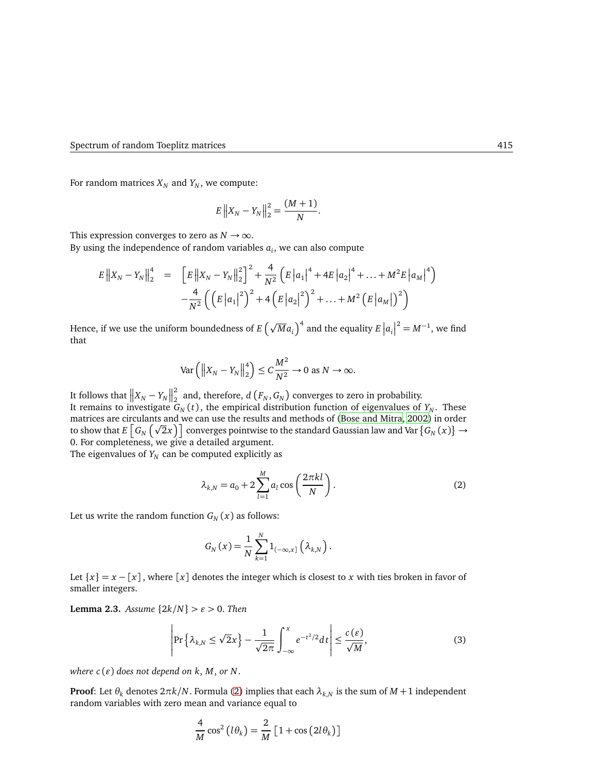For random matrices  $X_N$  and  $Y_N$ , we compute:

$$
E\left\|X_N - Y_N\right\|_2^2 = \frac{(M+1)}{N}.
$$

This expression converges to zero as  $N \to \infty$ .

By using the independence of random variables  $a_i$ , we can also compute

$$
E ||X_N - Y_N||_2^4 = \left[ E ||X_N - Y_N||_2^2 \right]^2 + \frac{4}{N^2} \left( E |a_1|^4 + 4E |a_2|^4 + \dots + M^2 E |a_M|^4 \right) - \frac{4}{N^2} \left( \left( E |a_1|^2 \right)^2 + 4 \left( E |a_2|^2 \right)^2 + \dots + M^2 \left( E |a_M| \right)^2 \right)
$$

Hence, if we use the uniform boundedness of  $E\left(\sqrt{M}a_i\right)^4$  and the equality  $E\left|a_i\right|^2=M^{-1}$ , we find that

$$
\text{Var}\left(\left\|X_N - Y_N\right\|_2^4\right) \le C\frac{M^2}{N^2} \to 0 \text{ as } N \to \infty.
$$

It follows that  $\left\|X_N-Y_N\right\|_2^2$  $\frac{2}{2}$  and, therefore,  $d\left(F_N, G_N\right)$  converges to zero in probability. It remains to investigate  $G_N(t)$ , the empirical distribution function of eigenvalues of  $Y_N$ . These matrices are circulants and we can use the results and methods of (Bose [and Mitra, 2002](#page-10-2)) in order to show that  $E\left[G_N(\sqrt{2}x)\right]$  converges pointwise to the standard Gaussian law and Var  $\{G_N(x)\}\to$ 0. For completeness, we give a detailed argument.

The eigenvalues of  $Y_N$  can be computed explicitly as

<span id="page-3-0"></span>
$$
\lambda_{k,N} = a_0 + 2\sum_{l=1}^{M} a_l \cos\left(\frac{2\pi k l}{N}\right).
$$
 (2)

Let us write the random function  $G_N(x)$  as follows:

$$
G_N(x) = \frac{1}{N} \sum_{k=1}^N 1_{(-\infty,x]} \left(\lambda_{k,N}\right).
$$

Let  ${x} = x - [x]$ , where  $[x]$  denotes the integer which is closest to *x* with ties broken in favor of smaller integers.

<span id="page-3-1"></span>**Lemma 2.3.** *Assume*  $\{2k/N\} > \varepsilon > 0$ . *Then* 

$$
\left|\Pr\left\{\lambda_{k,N}\leq\sqrt{2}x\right\}-\frac{1}{\sqrt{2\pi}}\int_{-\infty}^{x}e^{-t^2/2}dt\right|\leq\frac{c\left(\varepsilon\right)}{\sqrt{M}},\tag{3}
$$

*where*  $c(\varepsilon)$  *does not depend on k, M, or N.* 

**Proof**: Let  $\theta_k$  denotes  $2\pi k/N$ . Formula [\(2\)](#page-3-0) implies that each  $\lambda_{k,N}$  is the sum of  $M+1$  independent random variables with zero mean and variance equal to

$$
\frac{4}{M}\cos^2(l\theta_k) = \frac{2}{M}\left[1+\cos(2l\theta_k)\right]
$$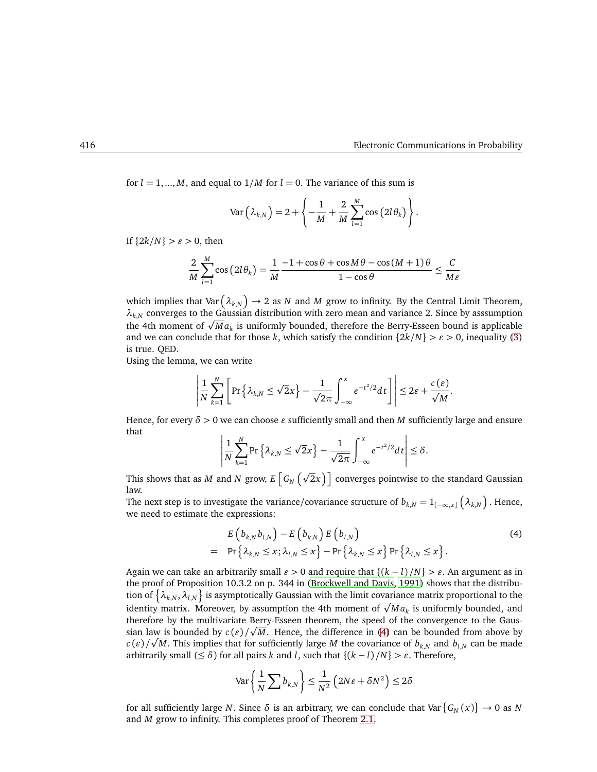for  $l = 1, ..., M$ , and equal to  $1/M$  for  $l = 0$ . The variance of this sum is

$$
\text{Var}\left(\lambda_{k,N}\right) = 2 + \left\{-\frac{1}{M} + \frac{2}{M}\sum_{l=1}^{M} \cos\left(2l\theta_k\right)\right\}.
$$

If  ${2k/N} > \varepsilon > 0$ , then

$$
\frac{2}{M}\sum_{l=1}^{M}\cos(2l\theta_k) = \frac{1}{M}\frac{-1+\cos\theta+\cos M\theta-\cos(M+1)\theta}{1-\cos\theta} \le \frac{C}{M\varepsilon}
$$

which implies that Var  $(\lambda_{k,N}) \to 2$  as  $N$  and  $M$  grow to infinity. By the Central Limit Theorem,  $\lambda_{k,N}$  converges to the Gaussian distribution with zero mean and variance 2. Since by asssumption the 4th moment of  $\sqrt{M}a_k$  is uniformly bounded, therefore the Berry-Esseen bound is applicable and we can conclude that for those *k*, which satisfy the condition  $\{2k/N\} > \varepsilon > 0$ , inequality [\(3\)](#page-3-1) is true. QED.

Using the lemma, we can write

$$
\left|\frac{1}{N}\sum_{k=1}^N\left[\Pr\left\{\lambda_{k,N}\leq \sqrt{2}x\right\}-\frac{1}{\sqrt{2\pi}}\int_{-\infty}^x e^{-t^2/2}dt\right]\right|\leq 2\varepsilon+\frac{c(\varepsilon)}{\sqrt{M}}.
$$

Hence, for every  $\delta > 0$  we can choose  $\varepsilon$  sufficiently small and then *M* sufficiently large and ensure that

$$
\left|\frac{1}{N}\sum_{k=1}^N \Pr\left\{\lambda_{k,N}\leq \sqrt{2}x\right\}-\frac{1}{\sqrt{2\pi}}\int_{-\infty}^x e^{-t^2/2}dt\right|\leq \delta.
$$

This shows that as  $M$  and  $N$  grow,  $E\left\lceil G_{N}\left(\sqrt{2}x\right)\right\rceil$  converges pointwise to the standard Gaussian law.

<span id="page-4-0"></span>The next step is to investigate the variance/covariance structure of  $b_{k,N} = 1_{(-\infty,x]} \left( \lambda_{k,N} \right)$ . Hence, we need to estimate the expressions:

$$
E\left(b_{k,N}b_{l,N}\right)-E\left(b_{k,N}\right)E\left(b_{l,N}\right)
$$
\n
$$
= \Pr\left\{\lambda_{k,N} \leq x;\lambda_{l,N} \leq x\right\} - \Pr\left\{\lambda_{k,N} \leq x\right\} \Pr\left\{\lambda_{l,N} \leq x\right\}.\tag{4}
$$

Again we can take an arbitrarily small  $\varepsilon > 0$  and require that  $\{(k - l)/N\} > \varepsilon$ . An argument as in the proof of Proposition 10.3.2 on p. 344 in [\(Brockwell and Davis](#page-10-7), [1991\)](#page-10-7) shows that the distribution of  $\{\lambda_{k,N},\lambda_{l,N}\}$  is asymptotically Gaussian with the limit covariance matrix proportional to the identity matrix. Moreover, by assumption the 4th moment of  $\sqrt{M}a_k$  is uniformly bounded, and therefore by the multivariate Berry-Esseen theorem, the speed of the convergence to the Gaussian law is bounded by  $c(\varepsilon)/\sqrt{M}$ . Hence, the difference in [\(4\)](#page-4-0) can be bounded from above by  $c(\varepsilon)/\sqrt{M}$ . This implies that for sufficiently large *M* the covariance of  $b_{k,N}$  and  $b_{l,N}$  can be made arbitrarily small ( $\leq \delta$ ) for all pairs *k* and *l*, such that { $(k - l)/N$ } >  $\varepsilon$ . Therefore,

$$
\text{Var}\left\{\frac{1}{N}\sum b_{k,N}\right\} \le \frac{1}{N^2} \left(2N\varepsilon + \delta N^2\right) \le 2\delta
$$

for all sufficiently large *N*. Since  $\delta$  is an arbitrary, we can conclude that Var  $\{G_N(x)\} \to 0$  as *N* and *M* grow to infinity. This completes proof of Theorem [2.1.](#page-1-1)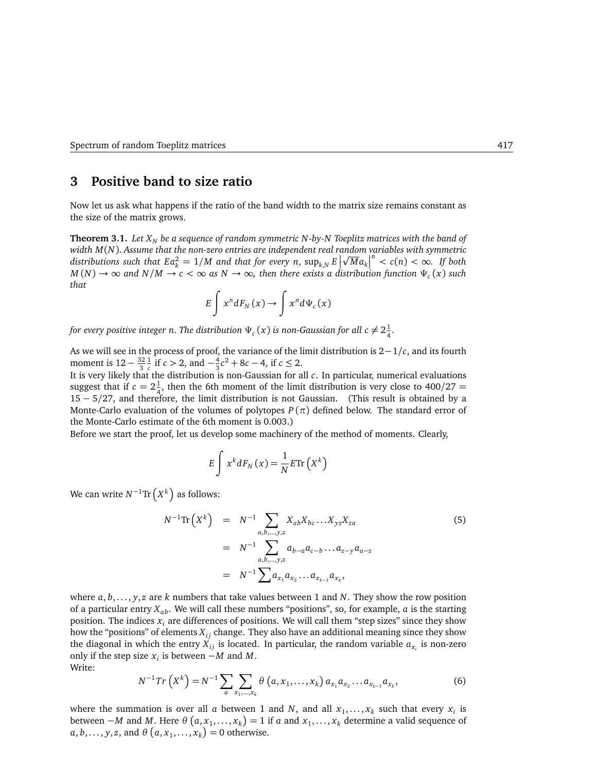# <span id="page-5-0"></span>**3 Positive band to size ratio**

<span id="page-5-1"></span>Now let us ask what happens if the ratio of the band width to the matrix size remains constant as the size of the matrix grows.

**Theorem 3.1.** *Let X<sup>N</sup> be a sequence of random symmetric N -by-N Toeplitz matrices with the band of width M*(*N*). *Assume that the non-zero entries are independent real random variables with symmetric* distributions such that  $Ea_k^2 = 1/M$  and that for every n,  $\sup_{k,N} E\left|\sqrt{M}a_k\right|^n < c(n) < \infty$ . If both  $M(N) \to \infty$  and  $N/M \to c < \infty$  as  $N \to \infty$ , then there exists a distribution function  $\Psi_c(x)$  such *that*

$$
E\int x^n dF_N(x) \to \int x^n d\Psi_c(x)
$$

for every positive integer n. The distribution  $\Psi_c(x)$  is non-Gaussian for all  $c\neq 2\frac{1}{4}$  $\frac{1}{4}$ .

As we will see in the process of proof, the variance of the limit distribution is 2−1*/c*, and its fourth moment is  $12 - \frac{32}{3}$ 3 1  $\frac{1}{c}$  if *c* > 2, and  $-\frac{4}{3}$  $\frac{4}{3}c^2 + 8c - 4$ , if  $c \le 2$ .

It is very likely that the distribution is non-Gaussian for all *c*. In particular, numerical evaluations suggest that if  $c = 2\frac{1}{4}$  $\frac{1}{4}$ , then the 6th moment of the limit distribution is very close to 400/27 = 15 − 5*/*27, and therefore, the limit distribution is not Gaussian. (This result is obtained by a Monte-Carlo evaluation of the volumes of polytopes  $P(\pi)$  defined below. The standard error of the Monte-Carlo estimate of the 6th moment is 0.003.)

Before we start the proof, let us develop some machinery of the method of moments. Clearly,

$$
E\int x^k dF_N(x) = \frac{1}{N} E \text{Tr}\left(X^k\right)
$$

We can write  $N^{-1}\text{Tr}\left(X^k\right)$  as follows:

$$
N^{-1} \text{Tr} \left( X^{k} \right) = N^{-1} \sum_{a,b,\dots,y,z} X_{ab} X_{bc} \dots X_{yz} X_{za}
$$
\n
$$
= N^{-1} \sum_{a,b,\dots,y,z} a_{b-a} a_{c-b} \dots a_{z-y} a_{a-z}
$$
\n
$$
= N^{-1} \sum_{a,x_1} a_{x_2} \dots a_{x_{k-1}} a_{x_k},
$$
\n
$$
(5)
$$

where *a*, *b*,... , *y*, *z* are *k* numbers that take values between 1 and *N*. They show the row position of a particular entry  $X_{ab}$ . We will call these numbers "positions", so, for example, *a* is the starting position. The indices *x<sup>i</sup>* are differences of positions. We will call them "step sizes" since they show how the "positions" of elements  $X_i$  change. They also have an additional meaning since they show the diagonal in which the entry  $X_{ij}$  is located. In particular, the random variable  $a_{x_i}$  is non-zero only if the step size  $x_i$  is between  $-M$  and  $M$ . Write:

$$
N^{-1}Tr\left(X^{k}\right) = N^{-1} \sum_{a} \sum_{x_{1},...,x_{k}} \theta\left(a, x_{1},...,x_{k}\right) a_{x_{1}} a_{x_{2}}...a_{x_{k-1}} a_{x_{k}},
$$
\n(6)

<span id="page-5-2"></span>where the summation is over all  $a$  between 1 and  $N$ , and all  $x_1, \ldots, x_k$  such that every  $x_i$  is between  $-M$  and M. Here  $\theta$   $(a, x_1, \ldots, x_k) = 1$  if  $a$  and  $x_1, \ldots, x_k$  determine a valid sequence of  $a, b, \ldots, y, z$ , and  $\theta$   $(a, x_1, \ldots, x_k) = 0$  otherwise.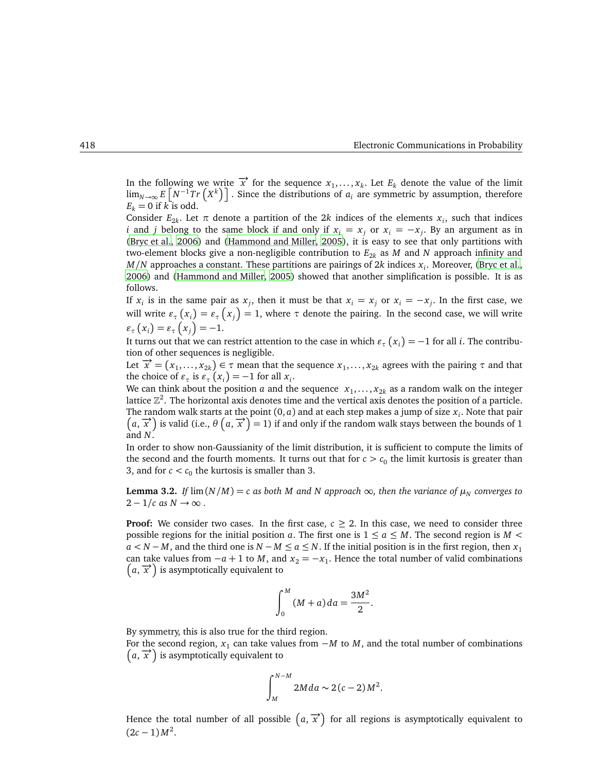In the following we write  $\vec{x}$  for the sequence  $x_1, \ldots, x_k$ . Let  $E_k$  denote the value of the limit  $\lim_{N\to\infty} E\left[N^{-1}Tr(X^k)\right]$ . Since the distributions of *a<sub>i</sub>* are symmetric by assumption, therefore  $E_k = 0$  if  $k$  is odd.

Consider  $E_{2k}$ . Let  $\pi$  denote a partition of the 2*k* indices of the elements  $x_i$ , such that indices *i* and *j* belong to the same block if and only if  $x_i = x_j$  or  $x_i = -x_j$ . By an argument as in [\(Bryc et al.](#page-10-0), [2006](#page-10-0)) and [\(Hammond and Miller, 2005](#page-10-1)), it is easy to see that only partitions with two-element blocks give a non-negligible contribution to  $E_{2k}$  as *M* and *N* approach infinity and *M/N* approaches a constant. These partitions are pairings of 2*k* indices *x<sup>i</sup>* . Moreover, [\(Bryc et al.](#page-10-0), [2006\)](#page-10-0) and [\(Hammond and Miller](#page-10-1), [2005](#page-10-1)) showed that another simplification is possible. It is as follows.

If  $x_i$  is in the same pair as  $x_j$ , then it must be that  $x_i = x_j$  or  $x_i = -x_j$ . In the first case, we will write  $\varepsilon_{\tau}(x_i) = \varepsilon_{\tau}(x_j) = 1$ , where  $\tau$  denote the pairing. In the second case, we will write  $\varepsilon_{\tau}(x_i) = \varepsilon_{\tau}(x_j) = -1.$ 

It turns out that we can restrict attention to the case in which  $\varepsilon_{\tau}(x_i) = -1$  for all *i*. The contribution of other sequences is negligible.

Let  $\vec{x} = (x_1, \ldots, x_{2k}) \in \tau$  mean that the sequence  $x_1, \ldots, x_{2k}$  agrees with the pairing  $\tau$  and that the choice of  $\varepsilon_{\tau}$  is  $\varepsilon_{\tau}(x_i) = -1$  for all  $x_i$ .

We can think about the position *a* and the sequence  $x_1, \ldots, x_{2k}$  as a random walk on the integer lattice  $\mathbb{Z}^2$ . The horizontal axis denotes time and the vertical axis denotes the position of a particle. The random walk starts at the point (0, *a*) and at each step makes a jump of size *x<sup>i</sup>* . Note that pair  $(a, \vec{x})$  is valid (i.e.,  $\theta(a, \vec{x}) = 1$ ) if and only if the random walk stays between the bounds of 1 and *N*.

In order to show non-Gaussianity of the limit distribution, it is sufficient to compute the limits of the second and the fourth moments. It turns out that for  $c > c_0$  the limit kurtosis is greater than 3, and for  $c < c_0$  the kurtosis is smaller than 3.

<span id="page-6-0"></span>**Lemma 3.2.** *If*  $\lim(N/M) = c$  *as both M and N approach*  $\infty$ *, then the variance of*  $\mu_N$  *converges to*  $2 - 1/c$  *as*  $N \rightarrow \infty$ .

**Proof:** We consider two cases. In the first case,  $c \geq 2$ . In this case, we need to consider three possible regions for the initial position *a*. The first one is  $1 \le a \le M$ . The second region is  $M <$  $a < N - M$ , and the third one is  $N - M \le a \le N$ . If the initial position is in the first region, then *x*<sub>1</sub> can take values from  $-a+1$  to *M*, and  $x_2 = -x_1$ . Hence the total number of valid combinations  $(a, \vec{x})$  is asymptotically equivalent to

$$
\int_0^M (M+a) da = \frac{3M^2}{2}.
$$

By symmetry, this is also true for the third region.

For the second region, *x*<sub>1</sub> can take values from −*M* to *M*, and the total number of combinations  $(a, \vec{x})$  is asymptotically equivalent to

$$
\int_M^{N-M} 2Mda \sim 2(c-2)M^2.
$$

Hence the total number of all possible  $(a, \overrightarrow{x})$  for all regions is asymptotically equivalent to  $(2c-1)M^2$ .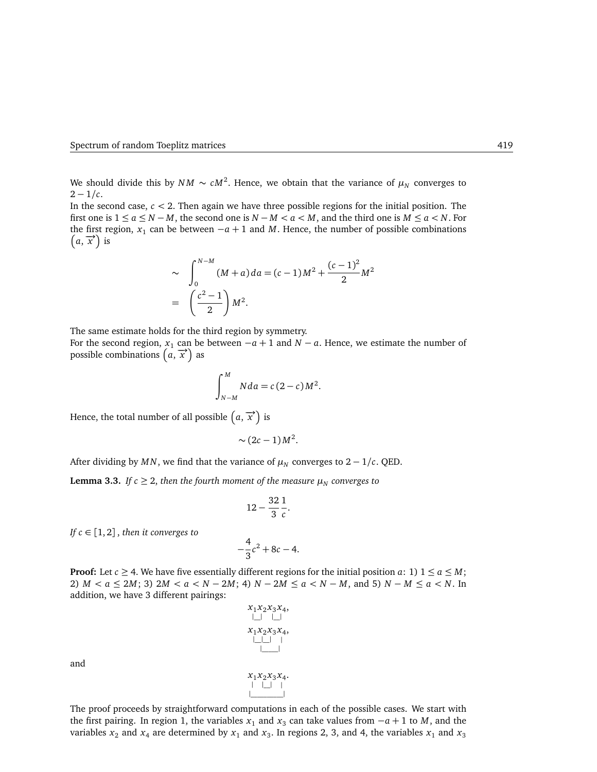We should divide this by  $NM \sim cM^2$ . Hence, we obtain that the variance of  $\mu_N$  converges to  $2 - 1/c$ .

In the second case,  $c < 2$ . Then again we have three possible regions for the initial position. The first one is  $1 \le a \le N - M$ , the second one is  $N - M < a < M$ , and the third one is  $M \le a < N$ . For the first region,  $x_1$  can be between  $-a+1$  and *M*. Hence, the number of possible combinations  $(a, \vec{x})$  is

$$
\sim \int_0^{N-M} (M+a) da = (c-1)M^2 + \frac{(c-1)^2}{2}M^2
$$
  
=  $\left(\frac{c^2-1}{2}\right)M^2$ .

The same estimate holds for the third region by symmetry.

For the second region,  $x_1$  can be between  $-a+1$  and  $N-a$ . Hence, we estimate the number of possible combinations  $\left(\vec{a}, \vec{x}\right)$  as

$$
\int_{N-M}^{M} Nda = c(2-c)M^2.
$$

Hence, the total number of all possible  $(a, \overrightarrow{x})$  is

$$
\sim (2c-1)M^2.
$$

<span id="page-7-0"></span>After dividing by *MN*, we find that the variance of  $\mu_N$  converges to 2 – 1/*c*. QED.

**Lemma 3.3.** *If*  $c \geq 2$ , *then the fourth moment of the measure*  $\mu_N$  *converges to* 

$$
12-\frac{32}{3}\frac{1}{c}.
$$

*If*  $c \in [1, 2]$ , *then it converges to* 

$$
-\frac{4}{3}c^2 + 8c - 4.
$$

**Proof:** Let  $c \geq 4$ . We have five essentially different regions for the initial position *a*: 1)  $1 \leq a \leq M$ ; 2)  $M < a \le 2M$ ; 3)  $2M < a < N - 2M$ ; 4)  $N - 2M \le a < N - M$ , and 5)  $N - M \le a < N$ . In addition, we have 3 different pairings:



and

The proof proceeds by straightforward computations in each of the possible cases. We start with the first pairing. In region 1, the variables  $x_1$  and  $x_3$  can take values from  $-a+1$  to *M*, and the variables  $x_2$  and  $x_4$  are determined by  $x_1$  and  $x_3$ . In regions 2, 3, and 4, the variables  $x_1$  and  $x_3$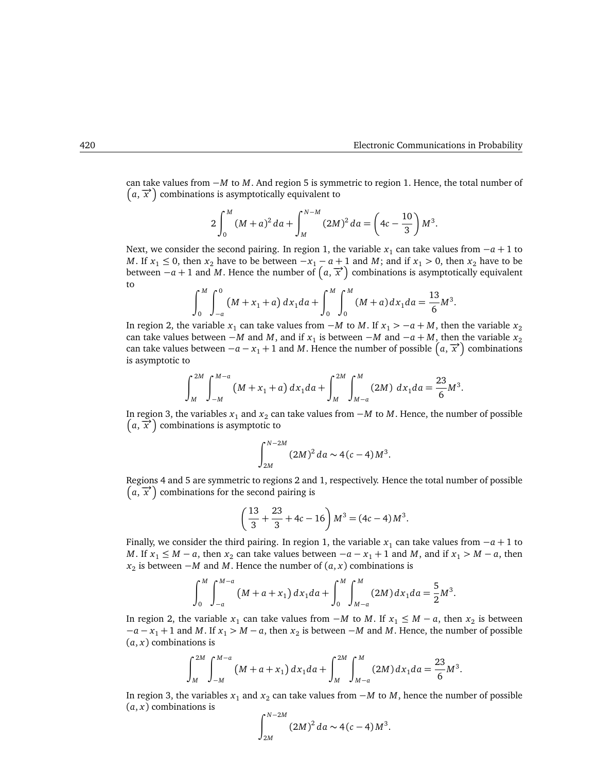.

can take values from −*M* to *M*. And region 5 is symmetric to region 1. Hence, the total number of  $(a, \vec{x})$  combinations is asymptotically equivalent to

$$
2\int_0^M (M+a)^2 da + \int_M^{N-M} (2M)^2 da = \left(4c - \frac{10}{3}\right) M^3.
$$

Next, we consider the second pairing. In region 1, the variable  $x_1$  can take values from  $-a+1$  to *M*. If  $x_1 \le 0$ , then  $x_2$  have to be between  $-x_1 - a + 1$  and *M*; and if  $x_1 > 0$ , then  $x_2$  have to be between  $-a+1$  and *M*. Hence the number of  $(a, \vec{x})$  combinations is asymptotically equivalent to

$$
\int_0^M \int_{-a}^0 (M + x_1 + a) \, dx_1 da + \int_0^M \int_0^M (M + a) \, dx_1 da = \frac{13}{6} M^3
$$

In region 2, the variable  $x_1$  can take values from  $-M$  to  $M$ . If  $x_1 > -a + M$ , then the variable  $x_2$ can take values between −*M* and *M*, and if  $x_1$  is between −*M* and −*a* + *M*, then the variable  $x_2$ can take values between  $-a - x_1 + 1$  and *M*. Hence the number of possible  $(a, \vec{x})$  combinations is asymptotic to

$$
\int_{M}^{2M} \int_{-M}^{M-a} (M + x_1 + a) dx_1 da + \int_{M}^{2M} \int_{M-a}^{M} (2M) dx_1 da = \frac{23}{6} M^3.
$$

In region 3, the variables *x*<sub>1</sub> and *x*<sub>2</sub> can take values from −*M* to *M*. Hence, the number of possible  $(a, \overrightarrow{x})$  combinations is asymptotic to

$$
\int_{2M}^{N-2M} (2M)^2 da \sim 4(c-4)M^3.
$$

Regions 4 and 5 are symmetric to regions 2 and 1, respectively. Hence the total number of possible  $(a, \vec{x})$  combinations for the second pairing is

$$
\left(\frac{13}{3} + \frac{23}{3} + 4c - 16\right)M^3 = (4c - 4)M^3.
$$

Finally, we consider the third pairing. In region 1, the variable  $x_1$  can take values from  $-a+1$  to *M*. If  $x_1 \leq M - a$ , then  $x_2$  can take values between  $-a - x_1 + 1$  and *M*, and if  $x_1 > M - a$ , then *x*<sub>2</sub> is between −*M* and *M*. Hence the number of  $(a, x)$  combinations is

$$
\int_0^M \int_{-a}^{M-a} (M+a+x_1) \, dx_1 da + \int_0^M \int_{M-a}^M (2M) \, dx_1 da = \frac{5}{2} M^3.
$$

In region 2, the variable  $x_1$  can take values from  $-M$  to *M*. If  $x_1 \leq M - a$ , then  $x_2$  is between −*a* − *x*<sup>1</sup> + 1 and *M*. If *x*<sup>1</sup> *> M* − *a*, then *x*<sup>2</sup> is between −*M* and *M*. Hence, the number of possible  $(a, x)$  combinations is

$$
\int_{M}^{2M} \int_{-M}^{M-a} (M+a+x_1) dx_1 da + \int_{M}^{2M} \int_{M-a}^{M} (2M) dx_1 da = \frac{23}{6} M^3.
$$

In region 3, the variables *x*<sup>1</sup> and *x*<sup>2</sup> can take values from −*M* to *M*, hence the number of possible  $(a, x)$  combinations is

$$
\int_{2M}^{N-2M} (2M)^2 da \sim 4(c-4)M^3.
$$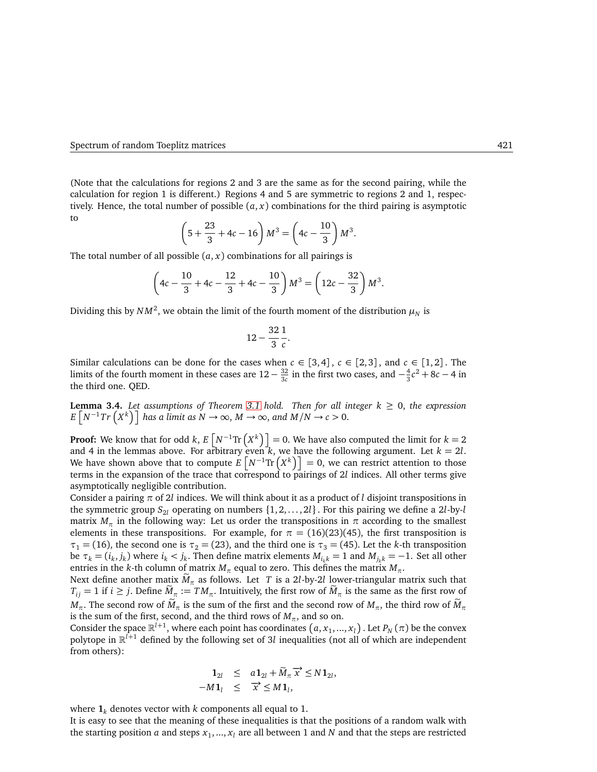(Note that the calculations for regions 2 and 3 are the same as for the second pairing, while the calculation for region 1 is different.) Regions 4 and 5 are symmetric to regions 2 and 1, respectively. Hence, the total number of possible  $(a, x)$  combinations for the third pairing is asymptotic to

$$
\left(5 + \frac{23}{3} + 4c - 16\right)M^3 = \left(4c - \frac{10}{3}\right)M^3.
$$

The total number of all possible  $(a, x)$  combinations for all pairings is

$$
\left(4c - \frac{10}{3} + 4c - \frac{12}{3} + 4c - \frac{10}{3}\right)M^3 = \left(12c - \frac{32}{3}\right)M^3.
$$

Dividing this by  $NM^2$ , we obtain the limit of the fourth moment of the distribution  $\mu_N$  is

$$
12-\frac{32}{3}\frac{1}{c}.
$$

Similar calculations can be done for the cases when  $c \in [3,4]$ ,  $c \in [2,3]$ , and  $c \in [1,2]$ . The limits of the fourth moment in these cases are  $12 - \frac{32}{3c}$  $\frac{32}{3c}$  in the first two cases, and  $-\frac{4}{3}$  $\frac{4}{3}c^2 + 8c - 4$  in the third one. QED.

<span id="page-9-0"></span>**Lemma 3.4.** Let assumptions of Theorem [3.1](#page-5-1) hold. Then for all integer  $k \geq 0$ , the expression  $E\left[N^{-1}Tr\left(X^{k}\right)\right]$  has a limit as  $N \to \infty$ ,  $M \to \infty$ , and  $M/N \to c > 0$ .

**Proof:** We know that for odd *k*,  $E\left[N^{-1}\text{Tr}\left(X^k\right)\right] = 0$ . We have also computed the limit for  $k = 2$ and 4 in the lemmas above. For arbitrary even  $k$ , we have the following argument. Let  $k = 2l$ . We have shown above that to compute  $E[N^{-1}\text{Tr}(X^k)] = 0$ , we can restrict attention to those terms in the expansion of the trace that correspond to pairings of 2*l* indices. All other terms give asymptotically negligible contribution.

Consider a pairing *π* of 2*l* indices. We will think about it as a product of *l* disjoint transpositions in the symmetric group  $S_{2l}$  operating on numbers  $\{1, 2, \ldots, 2l\}$ . For this pairing we define a 2*l*-by-*l* matrix  $M_{\tau}$  in the following way: Let us order the transpositions in  $\pi$  according to the smallest elements in these transpositions. For example, for  $\pi = (16)(23)(45)$ , the first transposition is  $\tau_1$  = (16), the second one is  $\tau_2$  = (23), and the third one is  $\tau_3$  = (45). Let the *k*-th transposition be  $\tau_k = (i_k, j_k)$  where  $i_k < j_k$ . Then define matrix elements  $M_{i_k k} = 1$  and  $M_{j_k k} = -1$ . Set all other entries in the *k*-th column of matrix  $M_\pi$  equal to zero. This defines the matrix  $M_\pi$ .

Next define another matix  $\dot{M}_{\pi}$  as follows. Let *T* is a 2*l*-by-2*l* lower-triangular matrix such that  $T_{ij} = 1$  if  $i \ge j$ . Define  $M_\pi := TM_\pi$ . Intuitively, the first row of  $M_\pi$  is the same as the first row of  $M_{\pi}$ . The second row of  $\tilde{M}_{\pi}$  is the sum of the first and the second row of  $M_{\pi}$ , the third row of  $\tilde{M}_{\pi}$ is the sum of the first, second, and the third rows of  $M_\pi$ , and so on.

Consider the space  $\mathbb{R}^{l+1}$ , where each point has coordinates  $(a, x_1, ..., x_l)$  . Let  $P_N(\pi)$  be the convex polytope in R *<sup>l</sup>*+<sup>1</sup> defined by the following set of 3*l* inequalities (not all of which are independent from others):

$$
\begin{array}{rcl}\n\mathbf{1}_{2l} & \leq & a\mathbf{1}_{2l} + \widetilde{M}_{\pi} \overrightarrow{x} \leq N\mathbf{1}_{2l}, \\
-M\mathbf{1}_{l} & \leq & \overrightarrow{x} \leq M\mathbf{1}_{l},\n\end{array}
$$

where  $\mathbf{1}_k$  denotes vector with *k* components all equal to 1.

It is easy to see that the meaning of these inequalities is that the positions of a random walk with the starting position  $a$  and steps  $x_1, ..., x_l$  are all between  $1$  and  $N$  and that the steps are restricted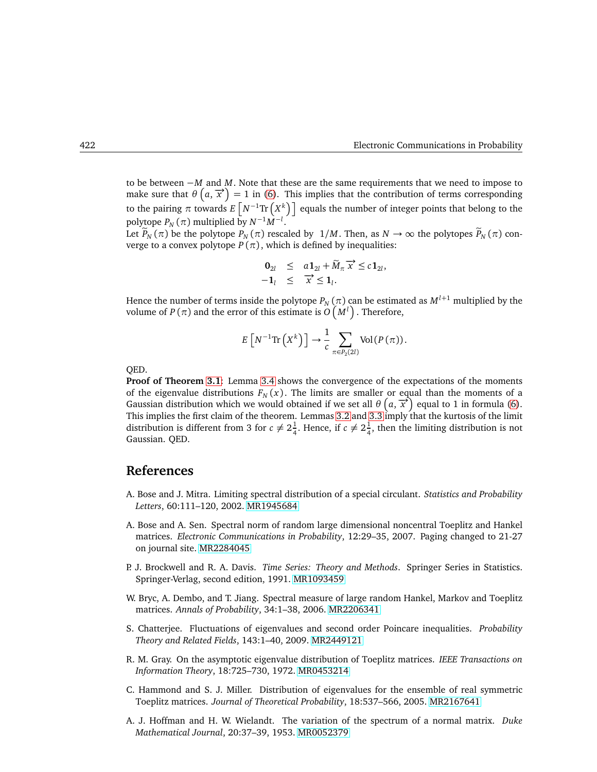to be between −*M* and *M*. Note that these are the same requirements that we need to impose to make sure that  $\theta\left(a,\vec{x}\right) = 1$  in [\(6\)](#page-5-2). This implies that the contribution of terms corresponding to the pairing  $\pi$  towards  $E\left[N^{-1}\text{Tr}\left(X^{k}\right)\right]$  equals the number of integer points that belong to the polytope  $P_N(\pi)$  multiplied by  $N^{-1}M^{-l}$ .

Let  $\overline{P}_N(\pi)$  be the polytope  $P_N(\pi)$  rescaled by  $1/M$ . Then, as  $N \to \infty$  the polytopes  $\widetilde{P}_N(\pi)$  converge to a convex polytope  $P(\pi)$ , which is defined by inequalities:

$$
\begin{array}{rcl}\n\mathbf{0}_{2l} & \leq & a\mathbf{1}_{2l} + \widetilde{M}_{\pi} \overrightarrow{x} \leq c\mathbf{1}_{2l}, \\
- \mathbf{1}_l & \leq & \overrightarrow{x} \leq \mathbf{1}_l.\n\end{array}
$$

Hence the number of terms inside the polytope  $P_N(\pi)$  can be estimated as  $M^{l+1}$  multiplied by the volume of  $P(\pi)$  and the error of this estimate is  $O(M^l)$ . Therefore,

$$
E\left[N^{-1}\mathrm{Tr}\left(X^{k}\right)\right]\to\frac{1}{c}\sum_{\pi\in P_{2}(2l)}\mathrm{Vol}\left(P\left(\pi\right)\right).
$$

QED.

**Proof of Theorem [3.1](#page-5-1)**: Lemma [3.4](#page-9-0) shows the convergence of the expectations of the moments of the eigenvalue distributions  $F_N(x)$ . The limits are smaller or equal than the moments of a Gaussian distribution which we would obtained if we set all  $\theta$   $(a, \vec{x})$  equal to 1 in formula [\(6\)](#page-5-2). This implies the first claim of the theorem. Lemmas [3.2](#page-6-0) and [3.3](#page-7-0) imply that the kurtosis of the limit distribution is different from 3 for  $c \neq 2\frac{1}{4}$  $\frac{1}{4}$ . Hence, if  $c \neq 2\frac{1}{4}$  $\frac{1}{4}$ , then the limiting distribution is not Gaussian. QED.

# **References**

- <span id="page-10-2"></span>A. Bose and J. Mitra. Limiting spectral distribution of a special circulant. *Statistics and Probability Letters*, 60:111–120, 2002. [MR1945684](http://www.ams.org/mathscinet-getitem?mr=1945684)
- <span id="page-10-3"></span>A. Bose and A. Sen. Spectral norm of random large dimensional noncentral Toeplitz and Hankel matrices. *Electronic Communications in Probability*, 12:29–35, 2007. Paging changed to 21-27 on journal site. [MR2284045](http://www.ams.org/mathscinet-getitem?mr=2284045)
- <span id="page-10-7"></span>P. J. Brockwell and R. A. Davis. *Time Series: Theory and Methods*. Springer Series in Statistics. Springer-Verlag, second edition, 1991. [MR1093459](http://www.ams.org/mathscinet-getitem?mr=1093459)
- <span id="page-10-0"></span>W. Bryc, A. Dembo, and T. Jiang. Spectral measure of large random Hankel, Markov and Toeplitz matrices. *Annals of Probability*, 34:1–38, 2006. [MR2206341](http://www.ams.org/mathscinet-getitem?mr=2206341)
- <span id="page-10-4"></span>S. Chatterjee. Fluctuations of eigenvalues and second order Poincare inequalities. *Probability Theory and Related Fields*, 143:1–40, 2009. [MR2449121](http://www.ams.org/mathscinet-getitem?mr=2449121)
- <span id="page-10-5"></span>R. M. Gray. On the asymptotic eigenvalue distribution of Toeplitz matrices. *IEEE Transactions on Information Theory*, 18:725–730, 1972. [MR0453214](http://www.ams.org/mathscinet-getitem?mr=0453214)
- <span id="page-10-1"></span>C. Hammond and S. J. Miller. Distribution of eigenvalues for the ensemble of real symmetric Toeplitz matrices. *Journal of Theoretical Probability*, 18:537–566, 2005. [MR2167641](http://www.ams.org/mathscinet-getitem?mr=2167641)
- <span id="page-10-6"></span>A. J. Hoffman and H. W. Wielandt. The variation of the spectrum of a normal matrix. *Duke Mathematical Journal*, 20:37–39, 1953. [MR0052379](http://www.ams.org/mathscinet-getitem?mr=0052379)